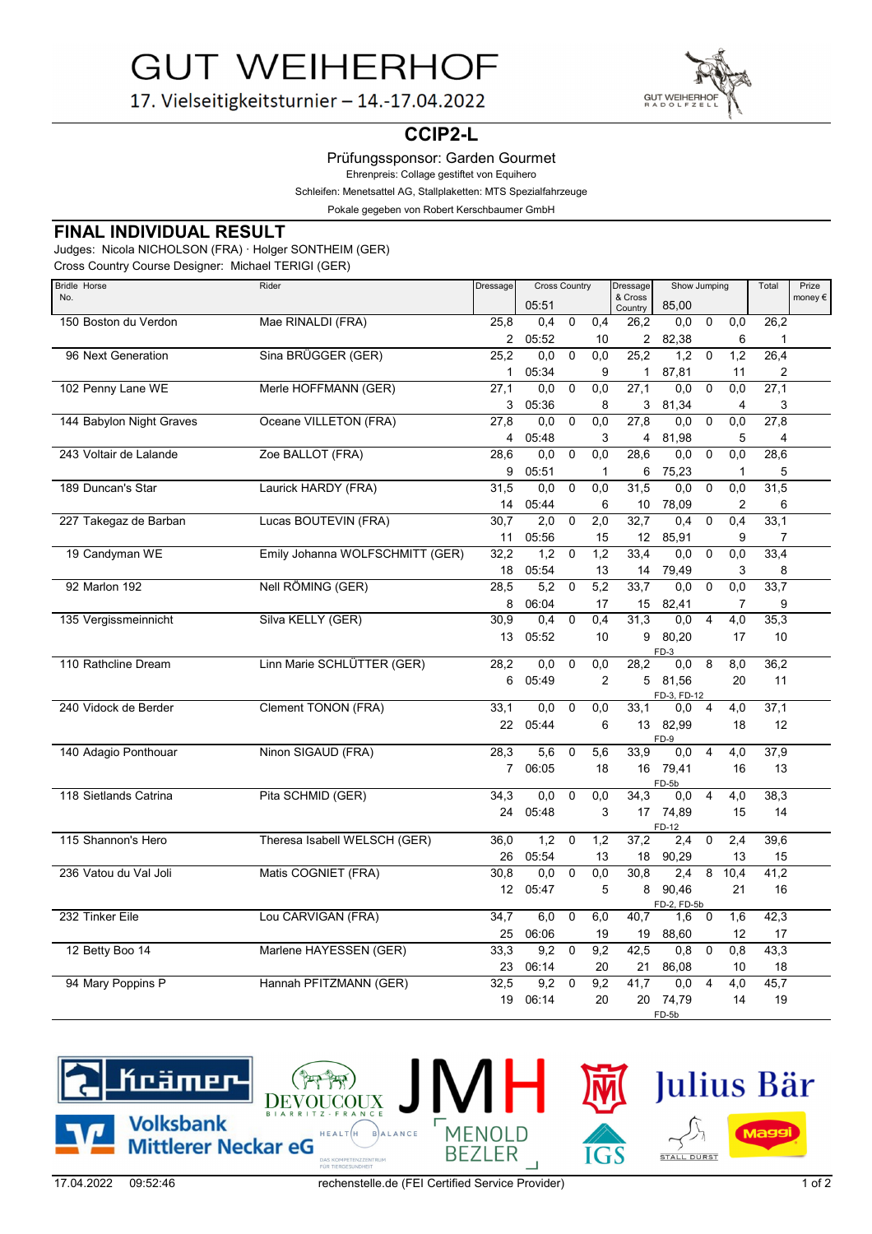**GUT WEIHERHOF** 



17. Vielseitigkeitsturnier - 14.-17.04.2022

# **CCIP2-L**

Prüfungssponsor: Garden Gourmet

Ehrenpreis: Collage gestiftet von Equihero

Schleifen: Menetsattel AG, Stallplaketten: MTS Spezialfahrzeuge

Pokale gegeben von Robert Kerschbaumer GmbH

#### **FINAL INDIVIDUAL RESULT**

Judges: Nicola NICHOLSON (FRA) · Holger SONTHEIM (GER)

Cross Country Course Designer: Michael TERIGI (GER)

| <b>Bridle Horse</b>      | Rider                           | Dressage       | <b>Cross Country</b> |                |                  | Dressage           |               | Show Jumping   |                | Total | Prize            |
|--------------------------|---------------------------------|----------------|----------------------|----------------|------------------|--------------------|---------------|----------------|----------------|-------|------------------|
| No.                      |                                 |                | 05:51                |                |                  | & Cross<br>Country | 85,00         |                |                |       | money $\epsilon$ |
| 150 Boston du Verdon     | Mae RINALDI (FRA)               | 25,8           | 0.4                  | 0              | 0,4              | 26.2               | 0,0           | $\mathbf 0$    | 0,0            | 26,2  |                  |
|                          |                                 | $\overline{2}$ | 05:52                |                | 10               | $\overline{2}$     | 82,38         |                | 6              | 1     |                  |
| 96 Next Generation       | Sina BRÜGGER (GER)              | 25.2           | 0.0                  | $\Omega$       | 0.0              | 25.2               | 1.2           | $\mathbf 0$    | 1.2            | 26.4  |                  |
|                          |                                 | 1              | 05:34                |                | 9                | 1                  | 87,81         |                | 11             | 2     |                  |
| 102 Penny Lane WE        | Merle HOFFMANN (GER)            | 27,1           | 0,0                  | $\mathbf 0$    | 0,0              | 27,1               | 0,0           | $\mathbf 0$    | 0,0            | 27,1  |                  |
|                          |                                 | 3              | 05:36                |                | 8                | 3                  | 81,34         |                | 4              | 3     |                  |
| 144 Babylon Night Graves | Oceane VILLETON (FRA)           | 27,8           | 0,0                  | $\Omega$       | 0,0              | 27,8               | 0,0           | $\Omega$       | 0,0            | 27,8  |                  |
|                          |                                 | 4              | 05:48                |                | 3                | 4                  | 81,98         |                | 5              | 4     |                  |
| 243 Voltair de Lalande   | Zoe BALLOT (FRA)                | 28.6           | 0.0                  | $\Omega$       | 0.0              | 28.6               | 0.0           | $\mathbf 0$    | 0.0            | 28.6  |                  |
|                          |                                 | 9              | 05:51                |                | 1                | 6                  | 75,23         |                | 1              | 5     |                  |
| 189 Duncan's Star        | Laurick HARDY (FRA)             | 31,5           | 0,0                  | $\Omega$       | 0,0              | 31,5               | 0,0           | $\mathbf 0$    | 0,0            | 31,5  |                  |
|                          |                                 | 14             | 05:44                |                | 6                | 10                 | 78,09         |                | 2              | 6     |                  |
| 227 Takegaz de Barban    | Lucas BOUTEVIN (FRA)            | 30,7           | 2,0                  | $\mathbf 0$    | 2,0              | 32,7               | 0,4           | $\mathbf 0$    | 0,4            | 33,1  |                  |
|                          |                                 | 11             | 05:56                |                | 15               | 12                 | 85,91         |                | 9              | 7     |                  |
| 19 Candyman WE           | Emily Johanna WOLFSCHMITT (GER) | 32,2           | 1,2                  | $\mathbf 0$    | 1,2              | 33.4               | 0.0           | $\mathbf 0$    | 0.0            | 33.4  |                  |
|                          |                                 | 18             | 05:54                |                | 13               | 14                 | 79,49         |                | 3              | 8     |                  |
| 92 Marlon 192            | Nell RÖMING (GER)               | 28,5           | 5,2                  | $\mathbf 0$    | 5,2              | 33,7               | 0,0           | $\mathbf 0$    | 0,0            | 33,7  |                  |
|                          |                                 | 8              | 06:04                |                | 17               | 15                 | 82,41         |                | $\overline{7}$ | 9     |                  |
| 135 Vergissmeinnicht     | Silva KELLY (GER)               | 30,9           | 0,4                  | $\overline{0}$ | 0,4              | 31,3               | 0,0           | $\overline{4}$ | 4,0            | 35,3  |                  |
|                          |                                 | 13             | 05:52                |                | 10               | 9                  | 80,20<br>FD-3 |                | 17             | 10    |                  |
| 110 Rathcline Dream      | Linn Marie SCHLÜTTER (GER)      | 28,2           | 0,0                  | $\Omega$       | 0,0              | 28,2               | 0,0           | 8              | 8,0            | 36,2  |                  |
|                          |                                 | 6              | 05:49                |                | $\overline{2}$   |                    | 5 81,56       |                | 20             | 11    |                  |
|                          |                                 |                |                      |                |                  |                    | FD-3, FD-12   |                |                |       |                  |
| 240 Vidock de Berder     | <b>Clement TONON (FRA)</b>      | 33,1           | 0.0                  | $\Omega$       | 0,0              | 33,1               | $0,0$ 4       |                | 4,0            | 37,1  |                  |
|                          |                                 | 22             | 05:44                |                | 6                | 13                 | 82,99<br>FD-9 |                | 18             | 12    |                  |
| 140 Adagio Ponthouar     | Ninon SIGAUD (FRA)              | 28,3           | 5,6                  | $\mathbf 0$    | $\overline{5,6}$ | 33.9               | 0.0           | $\overline{4}$ | 4,0            | 37,9  |                  |
|                          |                                 |                | 7 06:05              |                | 18               |                    | 16 79,41      |                | 16             | 13    |                  |
|                          |                                 |                |                      |                |                  |                    | FD-5b         |                |                |       |                  |
| 118 Sietlands Catrina    | Pita SCHMID (GER)               | 34,3           | 0,0                  | $\mathbf 0$    | 0,0              | 34,3               | 0,0           | $\overline{4}$ | 4,0            | 38,3  |                  |
|                          |                                 | 24             | 05:48                |                | 3                |                    | 17 74,89      |                | 15             | 14    |                  |
| 115 Shannon's Hero       | Theresa Isabell WELSCH (GER)    | 36,0           | 1,2                  | $\mathbf 0$    | 1,2              | 37,2               | FD-12<br>2,4  | $\mathbf 0$    | 2,4            | 39,6  |                  |
|                          |                                 | 26             | 05:54                |                | 13               | 18                 | 90,29         |                | 13             | 15    |                  |
| 236 Vatou du Val Joli    | Matis COGNIET (FRA)             | 30,8           | 0,0                  | $\mathbf 0$    | $\overline{0,0}$ | 30,8               | 2,4           | 8              | 10,4           | 41,2  |                  |
|                          |                                 | 12             | 05:47                |                | 5                | 8                  | 90,46         |                | 21             | 16    |                  |
|                          |                                 |                |                      |                |                  |                    | FD-2, FD-5b   |                |                |       |                  |
| 232 Tinker Eile          | Lou CARVIGAN (FRA)              | 34,7           | 6,0                  | 0              | 6,0              | 40,7               | 1,6           | 0              | 1,6            | 42,3  |                  |
|                          |                                 | 25             | 06:06                |                | 19               | 19                 | 88,60         |                | 12             | 17    |                  |
| 12 Betty Boo 14          | Marlene HAYESSEN (GER)          | 33,3           | 9,2                  | $\mathbf 0$    | 9,2              | 42,5               | 0,8           | $\mathbf 0$    | 0,8            | 43,3  |                  |
|                          |                                 | 23             | 06:14                |                | 20               | 21                 | 86,08         |                | 10             | 18    |                  |
| 94 Mary Poppins P        | Hannah PFITZMANN (GER)          | 32,5           | 9,2                  | $\mathbf 0$    | 9,2              | 41,7               | 0,0           | $\overline{4}$ | 4,0            | 45,7  |                  |
|                          |                                 | 19             | 06:14                |                | 20               | 20                 | 74,79         |                | 14             | 19    |                  |
|                          |                                 |                |                      |                |                  |                    | FD-5b         |                |                |       |                  |